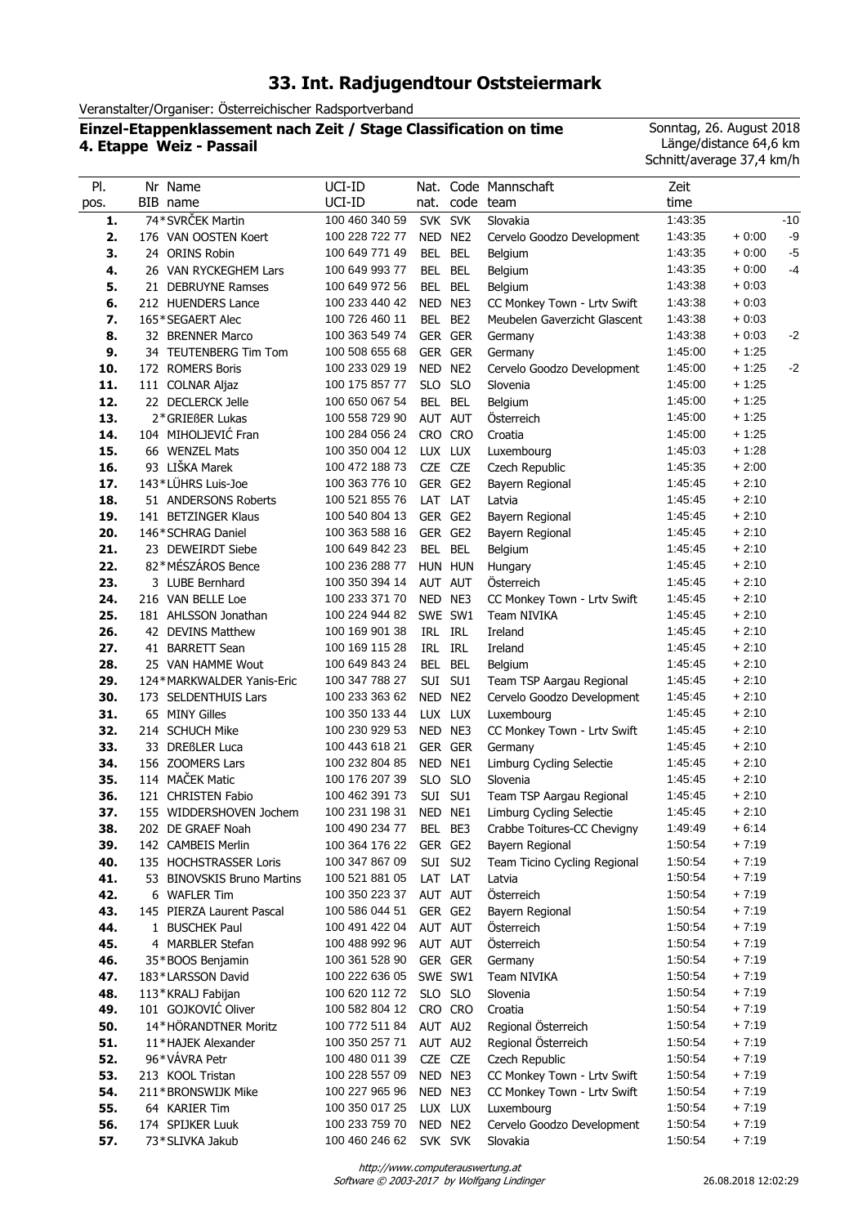# **33. Int. Radjugendtour Oststeiermark**

Veranstalter/Organiser: Österreichischer Radsportverband

### **Einzel-Etappenklassement nach Zeit / Stage Classification on time 4. Etappe Weiz - Passail**

Sonntag, 26. August 2018 Länge/distance 64,6 km Schnitt/average 37,4 km/h

| PI.  | Nr Name                    | UCI-ID                 | Nat.       |                 | Code Mannschaft              | Zeit    |         |       |
|------|----------------------------|------------------------|------------|-----------------|------------------------------|---------|---------|-------|
| pos. | BIB name                   | UCI-ID                 | nat.       |                 | code team                    | time    |         |       |
| 1.   | 74*SVRČEK Martin           | 100 460 340 59         | SVK SVK    |                 | Slovakia                     | 1:43:35 |         | $-10$ |
| 2.   | 176 VAN OOSTEN Koert       | 100 228 722 77         | NED NE2    |                 | Cervelo Goodzo Development   | 1:43:35 | $+0.00$ | -9    |
| 3.   | 24 ORINS Robin             | 100 649 771 49         | BEL        | <b>BEL</b>      | Belgium                      | 1:43:35 | $+0.00$ | $-5$  |
| 4.   | 26 VAN RYCKEGHEM Lars      | 100 649 993 77         | BEL        | <b>BEL</b>      | Belgium                      | 1:43:35 | $+0:00$ | $-4$  |
| 5.   | 21 DEBRUYNE Ramses         | 100 649 972 56         | BEL        | <b>BEL</b>      | Belgium                      | 1:43:38 | $+0:03$ |       |
| 6.   | 212 HUENDERS Lance         | 100 233 440 42         | NED NE3    |                 | CC Monkey Town - Lrtv Swift  | 1:43:38 | $+0.03$ |       |
| 7.   | 165*SEGAERT Alec           | 100 726 460 11         | BEL        | BE <sub>2</sub> | Meubelen Gaverzicht Glascent | 1:43:38 | $+0.03$ |       |
| 8.   | 32 BRENNER Marco           | 100 363 549 74         |            | GER GER         | Germany                      | 1:43:38 | $+0.03$ | $-2$  |
| 9.   | 34 TEUTENBERG Tim Tom      | 100 508 655 68         |            | GER GER         | Germany                      | 1:45:00 | + 1:25  |       |
| 10.  | 172 ROMERS Boris           | 100 233 029 19         | NED NE2    |                 | Cervelo Goodzo Development   | 1:45:00 | $+1:25$ | $-2$  |
| 11.  | 111 COLNAR Aljaz           | 100 175 857 77         | SLO SLO    |                 | Slovenia                     | 1:45:00 | $+1:25$ |       |
| 12.  | 22 DECLERCK Jelle          | 100 650 067 54         | BEL BEL    |                 | Belgium                      | 1:45:00 | $+1:25$ |       |
| 13.  | 2*GRIEßER Lukas            | 100 558 729 90         | AUT AUT    |                 | Österreich                   | 1:45:00 | $+1:25$ |       |
| 14.  | 104 MIHOLJEVIĆ Fran        | 100 284 056 24         | CRO CRO    |                 | Croatia                      | 1:45:00 | $+1:25$ |       |
| 15.  | 66 WENZEL Mats             | 100 350 004 12         | LUX LUX    |                 | Luxembourg                   | 1:45:03 | $+1:28$ |       |
| 16.  | 93 LIŠKA Marek             | 100 472 188 73         | CZE CZE    |                 | Czech Republic               | 1:45:35 | $+2:00$ |       |
| 17.  | 143*LÜHRS Luis-Joe         | 100 363 776 10         | GER GE2    |                 | Bayern Regional              | 1:45:45 | $+2:10$ |       |
| 18.  | 51 ANDERSONS Roberts       | 100 521 855 76         | LAT LAT    |                 | Latvia                       | 1:45:45 | $+2:10$ |       |
| 19.  | 141 BETZINGER Klaus        | 100 540 804 13         | GER GE2    |                 | Bayern Regional              | 1:45:45 | $+2:10$ |       |
| 20.  | 146*SCHRAG Daniel          | 100 363 588 16         | GER GE2    |                 | Bayern Regional              | 1:45:45 | $+2:10$ |       |
| 21.  | 23 DEWEIRDT Siebe          | 100 649 842 23         | <b>BEL</b> | <b>BEL</b>      | Belgium                      | 1:45:45 | $+2:10$ |       |
| 22.  | 82*MÉSZÁROS Bence          | 100 236 288 77         | HUN HUN    |                 | Hungary                      | 1:45:45 | $+2:10$ |       |
| 23.  | 3 LUBE Bernhard            | 100 350 394 14         | AUT AUT    |                 | Österreich                   | 1:45:45 | $+2:10$ |       |
| 24.  | 216 VAN BELLE Loe          | 100 233 371 70         | NED NE3    |                 | CC Monkey Town - Lrtv Swift  | 1.45.45 | $+2:10$ |       |
| 25.  | 181 AHLSSON Jonathan       | 100 224 944 82         |            | SWE SW1         | Team NIVIKA                  | 1:45:45 | $+2:10$ |       |
| 26.  | 42 DEVINS Matthew          | 100 169 901 38         | IRL IRL    |                 | Ireland                      | 1:45:45 | $+2:10$ |       |
| 27.  | 41 BARRETT Sean            | 100 169 115 28         | IRL IRL    |                 | Ireland                      | 1:45:45 | $+2:10$ |       |
| 28.  | 25 VAN HAMME Wout          | 100 649 843 24         | <b>BEL</b> | <b>BEL</b>      | Belgium                      | 1:45:45 | $+2:10$ |       |
| 29.  | 124*MARKWALDER Yanis-Eric  | 100 347 788 27         |            | SUI SU1         | Team TSP Aargau Regional     | 1:45:45 | $+2:10$ |       |
| 30.  | 173 SELDENTHUIS Lars       | 100 233 363 62         | NED NE2    |                 | Cervelo Goodzo Development   | 1:45:45 | $+2:10$ |       |
| 31.  | 65 MINY Gilles             | 100 350 133 44         | LUX LUX    |                 | Luxembourg                   | 1.45.45 | $+2:10$ |       |
| 32.  | 214 SCHUCH Mike            | 100 230 929 53         | NED NE3    |                 | CC Monkey Town - Lrtv Swift  | 1:45:45 | $+2:10$ |       |
| 33.  | 33 DREßLER Luca            | 100 443 618 21         |            | GER GER         | Germany                      | 1:45:45 | $+2:10$ |       |
| 34.  | 156 ZOOMERS Lars           | 100 232 804 85         | NED NE1    |                 | Limburg Cycling Selectie     | 1:45:45 | $+2:10$ |       |
| 35.  | 114 MAČEK Matic            | 100 176 207 39         | SLO SLO    |                 | Slovenia                     | 1:45:45 | $+2:10$ |       |
| 36.  | 121 CHRISTEN Fabio         | 100 462 391 73         |            | SUI SU1         | Team TSP Aargau Regional     | 1:45:45 | $+2:10$ |       |
| 37.  | 155 WIDDERSHOVEN Jochem    | 100 231 198 31         | NED NE1    |                 | Limburg Cycling Selectie     | 1:45:45 | $+2:10$ |       |
| 38.  | 202 DE GRAEF Noah          | 100 490 234 77 BEL BE3 |            |                 | Crabbe Toitures-CC Chevigny  | 1:49:49 | $+6:14$ |       |
| 39.  | 142 CAMBEIS Merlin         | 100 364 176 22         | GER GE2    |                 | Bayern Regional              | 1:50:54 | $+7.19$ |       |
| 40.  | 135 HOCHSTRASSER Loris     | 100 347 867 09         |            | SUI SU2         | Team Ticino Cycling Regional | 1:50:54 | $+7:19$ |       |
| 41.  | 53 BINOVSKIS Bruno Martins | 100 521 881 05         | LAT LAT    |                 | Latvia                       | 1:50:54 | $+7:19$ |       |
| 42.  | 6 WAFLER Tim               | 100 350 223 37         | AUT AUT    |                 | Österreich                   | 1:50:54 | $+7:19$ |       |
| 43.  | 145 PIERZA Laurent Pascal  | 100 586 044 51         | GER GE2    |                 | Bayern Regional              | 1:50:54 | $+7:19$ |       |
| 44.  | 1 BUSCHEK Paul             | 100 491 422 04         | AUT AUT    |                 | Österreich                   | 1:50:54 | $+7:19$ |       |
| 45.  | 4 MARBLER Stefan           | 100 488 992 96         | AUT AUT    |                 | Österreich                   | 1:50:54 | $+7:19$ |       |
| 46.  | 35*BOOS Benjamin           | 100 361 528 90         | GER GER    |                 | Germany                      | 1:50:54 | $+7:19$ |       |
| 47.  | 183*LARSSON David          | 100 222 636 05         | SWE SW1    |                 | Team NIVIKA                  | 1:50:54 | $+7:19$ |       |
| 48.  | 113*KRALJ Fabijan          | 100 620 112 72         | SLO SLO    |                 | Slovenia                     | 1:50:54 | $+7:19$ |       |
| 49.  | 101 GOJKOVIĆ Oliver        | 100 582 804 12         |            | CRO CRO         | Croatia                      | 1:50:54 | $+7:19$ |       |
| 50.  | 14*HÖRANDTNER Moritz       | 100 772 511 84         | AUT AU2    |                 | Regional Österreich          | 1:50:54 | $+7:19$ |       |
| 51.  | 11*HAJEK Alexander         | 100 350 257 71         |            | AUT AU2         | Regional Österreich          | 1:50:54 | $+7:19$ |       |
| 52.  | 96*VÁVRA Petr              | 100 480 011 39         | CZE CZE    |                 | Czech Republic               | 1:50:54 | $+7:19$ |       |
| 53.  | 213 KOOL Tristan           | 100 228 557 09         | NED NE3    |                 | CC Monkey Town - Lrtv Swift  | 1:50:54 | $+7:19$ |       |
| 54.  | 211*BRONSWIJK Mike         | 100 227 965 96         | NED NE3    |                 | CC Monkey Town - Lrtv Swift  | 1:50:54 | $+7:19$ |       |
| 55.  | 64 KARIER Tim              | 100 350 017 25         | LUX LUX    |                 | Luxembourg                   | 1:50:54 | $+7:19$ |       |
| 56.  | 174 SPIJKER Luuk           | 100 233 759 70         | NED NE2    |                 | Cervelo Goodzo Development   | 1:50:54 | $+7:19$ |       |
| 57.  | 73*SLIVKA Jakub            | 100 460 246 62         | SVK SVK    |                 | Slovakia                     | 1:50:54 | $+7:19$ |       |

http://www.computerauswertung.at

Software © 2003-2017 by Wolfgang Lindinger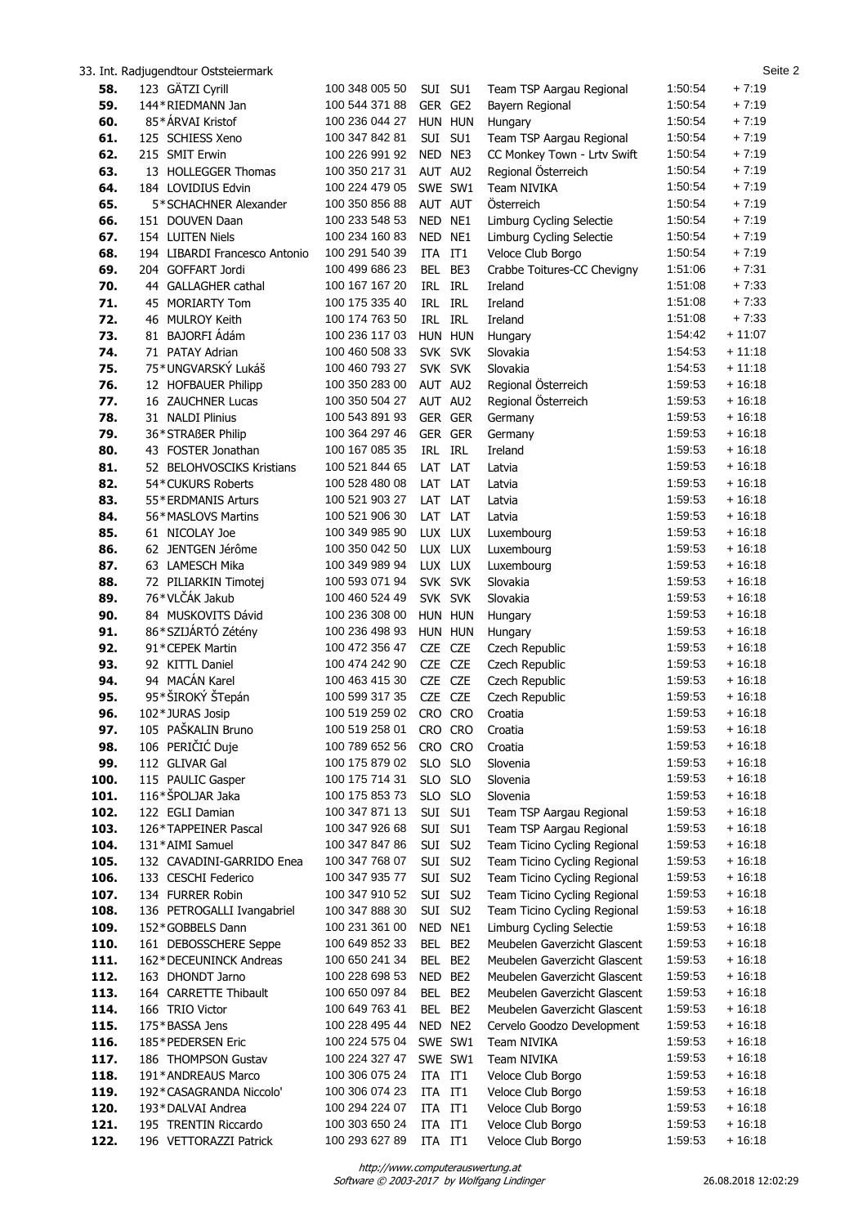|              | 33. Int. Radjugendtour Oststeiermark      |                                  |         |                    |                                        |                    | Seite 2              |
|--------------|-------------------------------------------|----------------------------------|---------|--------------------|----------------------------------------|--------------------|----------------------|
| 58.          | 123 GÄTZI Cyrill                          | 100 348 005 50                   |         | SUI SU1            | Team TSP Aargau Regional               | 1:50:54            | $+7:19$              |
| 59.          | 144*RIEDMANN Jan                          | 100 544 371 88                   |         | GER GE2            | Bayern Regional                        | 1:50:54            | $+7:19$              |
| 60.          | 85*ÁRVAI Kristof                          | 100 236 044 27                   |         | HUN HUN            | Hungary                                | 1:50:54            | $+7:19$              |
| 61.          | 125 SCHIESS Xeno                          | 100 347 842 81                   |         | SUI SU1            | Team TSP Aargau Regional               | 1:50:54            | $+7:19$              |
| 62.          | 215 SMIT Erwin                            | 100 226 991 92                   |         | NED NE3            | CC Monkey Town - Lrtv Swift            | 1:50:54            | $+7:19$              |
| 63.          | 13 HOLLEGGER Thomas                       | 100 350 217 31                   |         | AUT AU2            | Regional Österreich                    | 1:50:54            | $+7:19$              |
| 64.          | 184 LOVIDIUS Edvin                        | 100 224 479 05                   |         | SWE SW1            | <b>Team NIVIKA</b>                     | 1:50:54            | $+7:19$              |
| 65.          | 5*SCHACHNER Alexander                     | 100 350 856 88                   |         | AUT AUT            | Österreich                             | 1:50:54            | $+7:19$              |
| 66.          | 151 DOUVEN Daan                           | 100 233 548 53                   | NED NE1 |                    | Limburg Cycling Selectie               | 1:50:54            | $+7:19$              |
| 67.          | 154 LUITEN Niels                          | 100 234 160 83                   | NED NE1 |                    | Limburg Cycling Selectie               | 1:50:54            | $+7:19$              |
| 68.          | 194 LIBARDI Francesco Antonio             | 100 291 540 39                   | ITA IT1 |                    | Veloce Club Borgo                      | 1:50:54            | $+7:19$              |
| 69.          | 204 GOFFART Jordi                         | 100 499 686 23                   |         | BEL BE3            | Crabbe Toitures-CC Chevigny            | 1:51:06            | $+7:31$              |
| 70.          | 44 GALLAGHER cathal                       | 100 167 167 20                   | IRL IRL |                    | Ireland                                | 1:51:08            | $+7:33$              |
| 71.          | 45 MORIARTY Tom                           | 100 175 335 40                   | IRL IRL |                    | Ireland                                | 1:51:08            | $+7:33$              |
| 72.          | 46 MULROY Keith                           | 100 174 763 50                   |         | IRL IRL            | Ireland                                | 1:51:08            | $+7:33$              |
| 73.          | 81 BAJORFI Ádám<br>71 PATAY Adrian        | 100 236 117 03                   |         | HUN HUN<br>SVK SVK | Hungary                                | 1:54:42            | $+11:07$             |
| 74.          | 75*UNGVARSKÝ Lukáš                        | 100 460 508 33<br>100 460 793 27 |         |                    | Slovakia                               | 1:54:53<br>1:54:53 | $+11:18$<br>$+11:18$ |
| 75.<br>76.   | 12 HOFBAUER Philipp                       | 100 350 283 00                   | AUT AU2 | SVK SVK            | Slovakia<br>Regional Österreich        | 1:59:53            | $+16:18$             |
| 77.          | 16 ZAUCHNER Lucas                         | 100 350 504 27                   |         | AUT AU2            | Regional Österreich                    | 1:59:53            | $+16:18$             |
| 78.          | 31 NALDI Plinius                          | 100 543 891 93                   |         | GER GER            | Germany                                | 1:59:53            | $+16:18$             |
| 79.          | 36*STRAßER Philip                         | 100 364 297 46                   |         | GER GER            | Germany                                | 1:59:53            | $+16:18$             |
| 80.          | 43 FOSTER Jonathan                        | 100 167 085 35                   |         | IRL IRL            | Ireland                                | 1:59:53            | $+16:18$             |
| 81.          | 52 BELOHVOSCIKS Kristians                 | 100 521 844 65                   | LAT LAT |                    | Latvia                                 | 1:59:53            | $+16:18$             |
| 82.          | 54*CUKURS Roberts                         | 100 528 480 08                   | LAT LAT |                    | Latvia                                 | 1:59:53            | $+16:18$             |
| 83.          | 55*ERDMANIS Arturs                        | 100 521 903 27                   | LAT LAT |                    | Latvia                                 | 1:59:53            | $+16:18$             |
| 84.          | 56*MASLOVS Martins                        | 100 521 906 30                   | LAT LAT |                    | Latvia                                 | 1:59:53            | $+16:18$             |
| 85.          | 61 NICOLAY Joe                            | 100 349 985 90                   |         | LUX LUX            | Luxembourg                             | 1:59:53            | $+16:18$             |
| 86.          | 62 JENTGEN Jérôme                         | 100 350 042 50                   |         | LUX LUX            | Luxembourg                             | 1:59:53            | $+16:18$             |
| 87.          | 63 LAMESCH Mika                           | 100 349 989 94                   |         | LUX LUX            | Luxembourg                             | 1:59:53            | $+16:18$             |
| 88.          | 72 PILIARKIN Timotej                      | 100 593 071 94                   |         | SVK SVK            | Slovakia                               | 1:59:53            | $+16:18$             |
| 89.          | 76*VLČÁK Jakub                            | 100 460 524 49                   |         | SVK SVK            | Slovakia                               | 1:59:53            | $+16:18$             |
| 90.          | 84 MUSKOVITS Dávid                        | 100 236 308 00                   |         | HUN HUN            | Hungary                                | 1:59:53            | $+16:18$             |
| 91.          | 86*SZIJÁRTÓ Zétény                        | 100 236 498 93                   |         | HUN HUN            | Hungary                                | 1:59:53            | $+16:18$             |
| 92.          | 91*CEPEK Martin                           | 100 472 356 47                   | CZE CZE |                    | Czech Republic                         | 1:59:53            | $+16:18$             |
| 93.          | 92 KITTL Daniel                           | 100 474 242 90                   |         | CZE CZE            | Czech Republic                         | 1:59:53            | $+16:18$             |
| 94.          | 94 MACÁN Karel                            | 100 463 415 30                   |         | CZE CZE            | Czech Republic                         | 1:59:53            | $+16:18$             |
| 95.          | 95*ŠIROKÝ ŠTepán                          | 100 599 317 35                   |         | CZE CZE            | Czech Republic                         | 1:59:53            | $+16:18$             |
| 96.          | 102*JURAS Josip<br>105 PAŠKALIN Bruno     | 100 519 259 02                   |         | CRO CRO            | Croatia                                | 1.59.53            | $+16:18$             |
| 97.<br>98.   | 106 PERIČIĆ Duje                          | 100 519 258 01<br>100 789 652 56 |         | CRO CRO<br>CRO CRO | Croatia<br>Croatia                     | 1:59:53<br>1:59:53 | $+16:18$<br>$+16:18$ |
| 99.          | 112 GLIVAR Gal                            | 100 175 879 02                   |         | SLO SLO            | Slovenia                               | 1:59:53            | $+16:18$             |
| 100.         | 115 PAULIC Gasper                         | 100 175 714 31                   |         | SLO SLO            | Slovenia                               | 1:59:53            | + 16:18              |
| 101.         | 116*ŠPOLJAR Jaka                          | 100 175 853 73                   |         | SLO SLO            | Slovenia                               | 1:59:53            | $+16:18$             |
| 102.         | 122 EGLI Damian                           | 100 347 871 13                   |         | SUI SU1            | Team TSP Aargau Regional               | 1:59:53            | $+16:18$             |
| 103.         | 126*TAPPEINER Pascal                      | 100 347 926 68                   |         | SUI SU1            | Team TSP Aargau Regional               | 1:59:53            | $+16:18$             |
| 104.         | 131*AIMI Samuel                           | 100 347 847 86                   |         | SUI SU2            | Team Ticino Cycling Regional           | 1:59:53            | $+16:18$             |
| 105.         | 132 CAVADINI-GARRIDO Enea                 | 100 347 768 07                   |         | SUI SU2            | Team Ticino Cycling Regional           | 1:59:53            | $+16:18$             |
| 106.         | 133 CESCHI Federico                       | 100 347 935 77                   |         | SUI SU2            | Team Ticino Cycling Regional           | 1:59:53            | $+16:18$             |
| 107.         | 134 FURRER Robin                          | 100 347 910 52                   |         | SUI SU2            | Team Ticino Cycling Regional           | 1:59:53            | + 16:18              |
| 108.         | 136 PETROGALLI Ivangabriel                | 100 347 888 30                   |         | SUI SU2            | Team Ticino Cycling Regional           | 1:59:53            | $+16:18$             |
| 109.         | 152*GOBBELS Dann                          | 100 231 361 00                   |         | NED NE1            | Limburg Cycling Selectie               | 1:59:53            | $+16:18$             |
| 110.         | 161 DEBOSSCHERE Seppe                     | 100 649 852 33                   |         | BEL BE2            | Meubelen Gaverzicht Glascent           | 1:59:53            | $+16:18$             |
| 111.         | 162*DECEUNINCK Andreas                    | 100 650 241 34                   |         | BEL BE2            | Meubelen Gaverzicht Glascent           | 1:59:53            | $+16:18$             |
| 112.         | 163 DHONDT Jarno                          | 100 228 698 53                   | NED BE2 |                    | Meubelen Gaverzicht Glascent           | 1:59:53            | $+16:18$             |
| 113.         | 164 CARRETTE Thibault                     | 100 650 097 84                   |         | BEL BE2            | Meubelen Gaverzicht Glascent           | 1:59:53            | $+16:18$             |
| 114.         | 166 TRIO Victor                           | 100 649 763 41                   |         | BEL BE2            | Meubelen Gaverzicht Glascent           | 1:59:53            | $+16:18$             |
| 115.         | 175*BASSA Jens                            | 100 228 495 44                   |         | NED NE2            | Cervelo Goodzo Development             | 1:59:53            | $+16:18$             |
| 116.         | 185*PEDERSEN Eric                         | 100 224 575 04                   |         | SWE SW1            | Team NIVIKA                            | 1:59:53            | $+16:18$             |
| 117.<br>118. | 186 THOMPSON Gustav<br>191*ANDREAUS Marco | 100 224 327 47<br>100 306 075 24 | ITA IT1 | SWE SW1            | Team NIVIKA                            | 1:59:53<br>1:59:53 | $+16:18$<br>$+16:18$ |
| 119.         | 192*CASAGRANDA Niccolo'                   | 100 306 074 23                   | ITA IT1 |                    | Veloce Club Borgo<br>Veloce Club Borgo | 1:59:53            | $+16:18$             |
| 120.         | 193*DALVAI Andrea                         | 100 294 224 07                   | ITA IT1 |                    | Veloce Club Borgo                      | 1:59:53            | $+16:18$             |
| 121.         | 195 TRENTIN Riccardo                      | 100 303 650 24                   | ITA IT1 |                    | Veloce Club Borgo                      | 1:59:53            | $+16:18$             |
| 122.         | 196 VETTORAZZI Patrick                    | 100 293 627 89                   | ITA IT1 |                    | Veloce Club Borgo                      | 1:59:53            | $+16:18$             |
|              |                                           |                                  |         |                    |                                        |                    |                      |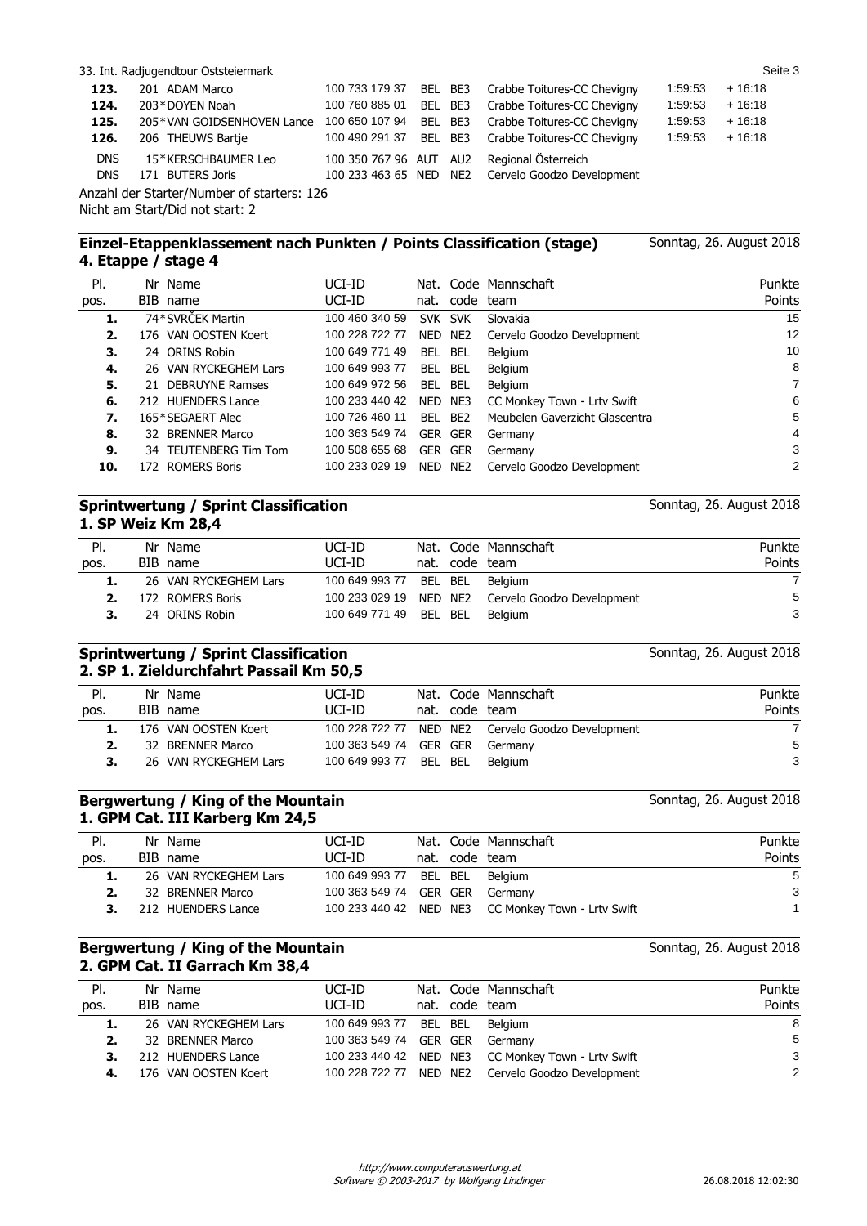|                          | 33. Int. Radjugendtour Oststeiermark    |                        |         |                                                                          |         | Seite 3  |
|--------------------------|-----------------------------------------|------------------------|---------|--------------------------------------------------------------------------|---------|----------|
| 123.                     | 201 ADAM Marco                          | 100 733 179 37         | BEL BE3 | Crabbe Toitures-CC Chevigny                                              | 1:59:53 | $+16:18$ |
| 124.                     | 203*DOYEN Noah                          | 100 760 885 01         | BEL BE3 | Crabbe Toitures-CC Chevigny                                              | 1:59:53 | $+16:18$ |
| 125.                     | 205*VAN GOIDSENHOVEN Lance              | 100 650 107 94         | BEL BE3 | Crabbe Toitures-CC Chevigny                                              | 1:59:53 | $+16:18$ |
| 126.                     | 206 THEUWS Bartje                       | 100 490 291 37         | BEL BE3 | Crabbe Toitures-CC Chevigny                                              | 1:59:53 | $+16:18$ |
| <b>DNS</b><br><b>DNS</b> | 15*KERSCHBAUMER Leo<br>171 BUTERS Joris | 100 350 767 96 AUT AU2 |         | Regional Österreich<br>100 233 463 65 NED NE2 Cervelo Goodzo Development |         |          |

Anzahl der Starter/Number of starters: 126 Nicht am Start/Did not start: 2

#### **Einzel-Etappenklassement nach Punkten / Points Classification (stage) 4. Etappe / stage 4**

| PI.  |     | Nr Name                   | UCI-ID         |            |                 | Nat. Code Mannschaft           | Punkte         |
|------|-----|---------------------------|----------------|------------|-----------------|--------------------------------|----------------|
| pos. |     | BIB name                  | UCI-ID         |            | nat. code team  |                                | Points         |
| 1.   |     | 74*SVRČEK Martin          | 100 460 340 59 | SVK SVK    |                 | Slovakia                       | 15             |
| 2.   |     | 176 VAN OOSTEN Koert      | 100 228 722 77 | NED        | NE2             | Cervelo Goodzo Development     | 12             |
| З.   |     | 24 ORINS Robin            | 100 649 771 49 | BEL.       | BEL             | Belgium                        | 10             |
| 4.   |     | 26 VAN RYCKEGHEM Lars     | 100 649 993 77 | BEL.       | BEL             | Belgium                        | 8              |
| 5.   |     | 21 DEBRUYNE Ramses        | 100 649 972 56 | BEL.       | BEL             | Belgium                        | $\overline{7}$ |
| 6.   |     | 212 HUENDERS Lance        | 100 233 440 42 | NED NE3    |                 | CC Monkey Town - Lrtv Swift    | 6              |
| 7.   |     | 165*SEGAERT Alec          | 100 726 460 11 | BEL        | BE <sub>2</sub> | Meubelen Gaverzicht Glascentra | 5              |
| 8.   |     | 32 BRENNER Marco          | 100 363 549 74 | <b>GER</b> | <b>GER</b>      | Germany                        | $\overline{4}$ |
| 9.   | 34. | <b>TEUTENBERG Tim Tom</b> | 100 508 655 68 | <b>GER</b> | GER             | Germany                        | 3              |
| 10.  |     | 172 ROMERS Boris          | 100 233 029 19 | NED.       | NE <sub>2</sub> | Cervelo Goodzo Development     | 2              |

### **Sprintwertung / Sprint Classification 1. SP Weiz Km 28,4**

| PI.<br>pos. | Nr Name<br>BIB name   | UCI-ID<br>UCI-ID       | nat. code team | Nat. Code Mannschaft                              | Punkte<br>Points |
|-------------|-----------------------|------------------------|----------------|---------------------------------------------------|------------------|
| 1.          | 26 VAN RYCKEGHEM Lars | 100 649 993 77         |                | BEL BEL Belgium                                   | $\overline{7}$   |
|             | 172 ROMERS Boris      |                        |                | 100 233 029 19 NED NE2 Cervelo Goodzo Development | 5                |
|             | 24 ORINS Robin        | 100 649 771 49 BEL BEL |                | Belaium                                           | 3                |

### **Sprintwertung / Sprint Classification 2. SP 1. Zieldurchfahrt Passail Km 50,5**

| PI.  | Nr Name               | UCI-ID                         |                | Nat. Code Mannschaft                              | Punkte |
|------|-----------------------|--------------------------------|----------------|---------------------------------------------------|--------|
| pos. | BIB name              | UCI-ID                         | nat. code team |                                                   | Points |
|      | 176 VAN OOSTEN Koert  |                                |                | 100 228 722 77 NED NE2 Cervelo Goodzo Development |        |
|      | 32 BRENNER Marco      | 100 363 549 74 GER GER Germany |                |                                                   | -5     |
|      | 26 VAN RYCKEGHEM Lars | 100 649 993 77 BEL BEL         |                | Belaium                                           | 3      |
|      |                       |                                |                |                                                   |        |

#### **Bergwertung / King of the Mountain 1. GPM Cat. III Karberg Km 24,5**

| PI.  | Nr Name               | UCI-ID                         |  | Nat. Code Mannschaft                               | Punkte |
|------|-----------------------|--------------------------------|--|----------------------------------------------------|--------|
| pos. | BIB name              | UCI-ID                         |  | nat. code team                                     | Points |
| 1.   | 26 VAN RYCKEGHEM Lars | 100 649 993 77 BEL BEL         |  | Belaium                                            | -5     |
|      | 32 BRENNER Marco      | 100 363 549 74 GER GER Germany |  |                                                    | 3      |
|      | 212 HUENDERS Lance    |                                |  | 100 233 440 42 NED NE3 CC Monkey Town - Lrtv Swift |        |

#### **Bergwertung / King of the Mountain 2. GPM Cat. II Garrach Km 38,4**

| PI.  | Nr Name               | UCI-ID                         |  | Nat. Code Mannschaft                               | Punkte |
|------|-----------------------|--------------------------------|--|----------------------------------------------------|--------|
| pos. | BIB name              | UCI-ID                         |  | nat. code team                                     | Points |
|      | 26 VAN RYCKEGHEM Lars | 100 649 993 77 BEL BEL         |  | Belgium                                            | 8      |
| 2.   | 32 BRENNER Marco      | 100 363 549 74 GER GER Germany |  |                                                    | 5      |
|      | 212 HUENDERS Lance    |                                |  | 100 233 440 42 NED NE3 CC Monkey Town - Lrtv Swift | 3      |
|      | 176 VAN OOSTEN Koert  |                                |  | 100 228 722 77 NED NE2 Cervelo Goodzo Development  | 2      |

Sonntag, 26. August 2018

Sonntag, 26. August 2018

Sonntag, 26. August 2018

Sonntag, 26. August 2018

Sonntag, 26. August 2018

Software © 2003-2017 by Wolfgang Lindinger http://www.computerauswertung.at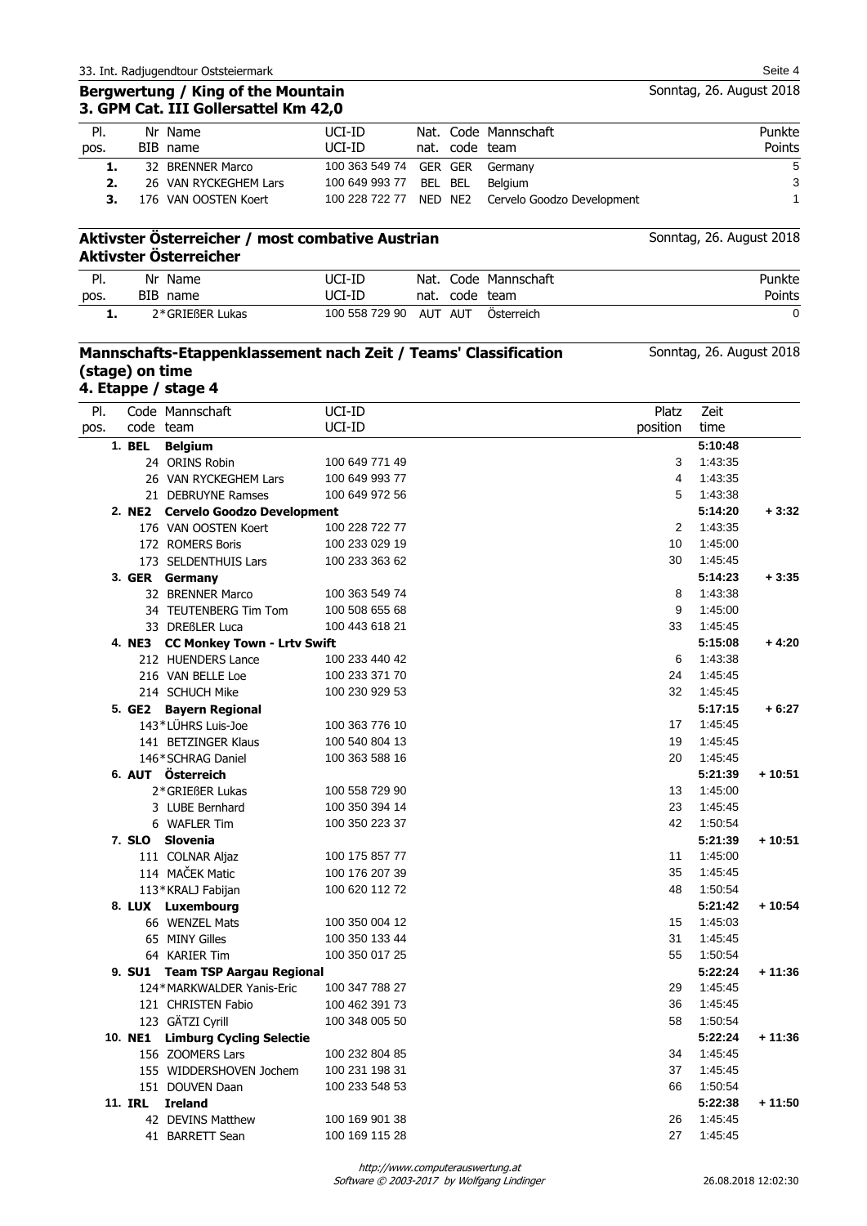|      | Aktivster Österreicher                           |                        |  |                                                   |                          |
|------|--------------------------------------------------|------------------------|--|---------------------------------------------------|--------------------------|
|      | Aktivster Österreicher / most combative Austrian |                        |  |                                                   | Sonntag, 26. August 2018 |
|      | 176 VAN OOSTEN Koert                             |                        |  | 100 228 722 77 NED NE2 Cervelo Goodzo Development |                          |
|      | 26 VAN RYCKEGHEM Lars                            | 100 649 993 77 BEL BEL |  | Belaium                                           | З                        |
| 1.   | 32 BRENNER Marco                                 | 100 363 549 74 GER GER |  | Germany                                           | 5                        |
| pos. | BIB name                                         | UCI-ID                 |  | nat. code team                                    | Points                   |

**Mannschafts-Etappenklassement nach Zeit / Teams' Classification** 

UCI-ID

### **Aktivster Österreicher / most combative Austrian Aktiv**

| PI.  | Nr<br>Name      | UCI-ID         | Nat. |      | Code Mannschaft | <sup>o</sup> unkte |
|------|-----------------|----------------|------|------|-----------------|--------------------|
| pos. | BIB name        | UCI-ID         | nat. | code | team            | Points             |
| . .  | 2*GRIEßER Lukas | 100 558 729 90 | AUT  | AUT  | Osterreich      |                    |

Nat. Code Mannschaft

|      |         | 4. Etappe / stage 4                |                |          |         |          |
|------|---------|------------------------------------|----------------|----------|---------|----------|
| PI.  |         | Code Mannschaft                    | UCI-ID         | Platz    | Zeit    |          |
| pos. |         | code team                          | UCI-ID         | position | time    |          |
|      | 1. BEL  | <b>Belgium</b>                     |                |          | 5:10:48 |          |
|      |         | 24 ORINS Robin                     | 100 649 771 49 | 3        | 1:43:35 |          |
|      |         | 26 VAN RYCKEGHEM Lars              | 100 649 993 77 | 4        | 1:43:35 |          |
|      |         | 21 DEBRUYNE Ramses                 | 100 649 972 56 | 5        | 1:43:38 |          |
|      |         | 2. NE2 Cervelo Goodzo Development  |                |          | 5:14:20 | $+3:32$  |
|      |         | 176 VAN OOSTEN Koert               | 100 228 722 77 | 2        | 1:43:35 |          |
|      |         | 172 ROMERS Boris                   | 100 233 029 19 | 10       | 1:45:00 |          |
|      |         | 173 SELDENTHUIS Lars               | 100 233 363 62 | 30       | 1:45:45 |          |
|      |         | 3. GER Germany                     |                |          | 5:14:23 | $+3:35$  |
|      |         | 32 BRENNER Marco                   | 100 363 549 74 | 8        | 1:43:38 |          |
|      |         | 34 TEUTENBERG Tim Tom              | 100 508 655 68 | 9        | 1:45:00 |          |
|      |         | 33 DREßLER Luca                    | 100 443 618 21 | 33       | 1:45:45 |          |
|      |         | 4. NE3 CC Monkey Town - Lrtv Swift |                |          | 5:15:08 | $+4:20$  |
|      |         | 212 HUENDERS Lance                 | 100 233 440 42 | 6        | 1:43:38 |          |
|      |         | 216 VAN BELLE Loe                  | 100 233 371 70 | 24       | 1:45:45 |          |
|      |         | 214 SCHUCH Mike                    | 100 230 929 53 | 32       | 1:45:45 |          |
|      |         | 5. GE2 Bayern Regional             |                |          | 5:17:15 | $+6:27$  |
|      |         | 143*LÜHRS Luis-Joe                 | 100 363 776 10 | 17       | 1:45:45 |          |
|      |         | 141 BETZINGER Klaus                | 100 540 804 13 | 19       | 1:45:45 |          |
|      |         | 146*SCHRAG Daniel                  | 100 363 588 16 | 20       | 1:45:45 |          |
|      |         | 6. AUT Österreich                  |                |          | 5:21:39 | $+10:51$ |
|      |         | 2*GRIEßER Lukas                    | 100 558 729 90 | 13       | 1:45:00 |          |
|      |         | 3 LUBE Bernhard                    | 100 350 394 14 | 23       | 1:45:45 |          |
|      |         | 6 WAFLER Tim                       | 100 350 223 37 | 42       | 1:50:54 |          |
|      |         | 7. SLO Slovenia                    |                |          | 5:21:39 | $+10:51$ |
|      |         | 111 COLNAR Aljaz                   | 100 175 857 77 | 11       | 1:45:00 |          |
|      |         | 114 MAČEK Matic                    | 100 176 207 39 | 35       | 1:45:45 |          |
|      |         | 113*KRALJ Fabijan                  | 100 620 112 72 | 48       | 1:50:54 |          |
|      |         | 8. LUX Luxembourg                  |                |          | 5:21:42 | $+10:54$ |
|      |         | 66 WENZEL Mats                     | 100 350 004 12 | 15       | 1:45:03 |          |
|      |         | 65 MINY Gilles                     | 100 350 133 44 | 31       | 1:45:45 |          |
|      |         | 64 KARIER Tim                      | 100 350 017 25 | 55       | 1:50:54 |          |
|      |         | 9. SU1 Team TSP Aargau Regional    |                |          | 5:22:24 | $+11:36$ |
|      |         | 124*MARKWALDER Yanis-Eric          | 100 347 788 27 | 29       | 1:45:45 |          |
|      |         | 121 CHRISTEN Fabio                 | 100 462 391 73 | 36       | 1:45:45 |          |
|      |         | 123 GÄTZI Cyrill                   | 100 348 005 50 | 58       | 1.50.54 |          |
|      |         | 10. NE1 Limburg Cycling Selectie   |                |          | 5:22:24 | + 11:36  |
|      |         | 156 ZOOMERS Lars                   | 100 232 804 85 | 34       | 1:45:45 |          |
|      |         | 155 WIDDERSHOVEN Jochem            | 100 231 198 31 | 37       | 1:45:45 |          |
|      |         | 151 DOUVEN Daan                    | 100 233 548 53 | 66       | 1:50:54 |          |
|      | 11. IRL | <b>Ireland</b>                     |                |          | 5:22:38 | $+11:50$ |
|      |         | 42 DEVINS Matthew                  | 100 169 901 38 | 26       | 1:45:45 |          |
|      |         | 41 BARRETT Sean                    | 100 169 115 28 | 27       | 1:45:45 |          |
|      |         |                                    |                |          |         |          |

## 33. Int. Radjugendtour Oststeiermark Seite 4 **Bergwertung / King of the Mountain**

Nr Name

**(stage) on time**

Pl.

**3. GPM Cat. III Gollersattel Km 42,0**

Sonntag, 26. August 2018

Punkte Points

Sonntag, 26. August 2018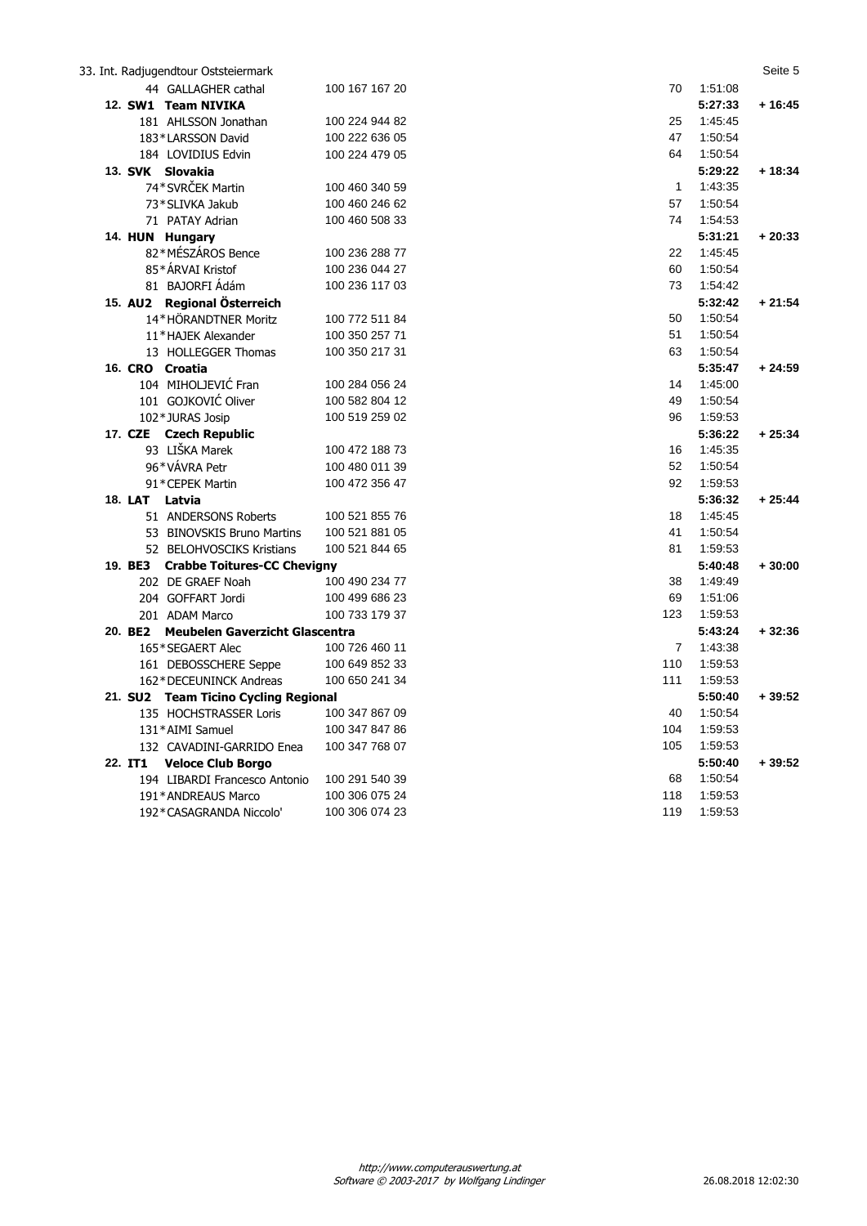|                  | 33. Int. Radjugendtour Oststeiermark   |                |                |         | Seite 5  |
|------------------|----------------------------------------|----------------|----------------|---------|----------|
|                  | 44 GALLAGHER cathal                    | 100 167 167 20 | 70             | 1:51:08 |          |
|                  | 12. SW1 Team NIVIKA                    |                |                | 5:27:33 | $+16:45$ |
|                  | 181 AHLSSON Jonathan                   | 100 224 944 82 | 25             | 1.45.45 |          |
|                  | 183*LARSSON David                      | 100 222 636 05 | 47             | 1:50:54 |          |
|                  | 184 LOVIDIUS Edvin                     | 100 224 479 05 | 64             | 1:50:54 |          |
| 13. SVK Slovakia |                                        |                |                | 5:29:22 | $+18:34$ |
|                  | 74*SVRČEK Martin                       | 100 460 340 59 | $\mathbf 1$    | 1:43:35 |          |
|                  | 73*SLIVKA Jakub                        | 100 460 246 62 | 57             | 1:50:54 |          |
|                  | 71 PATAY Adrian                        | 100 460 508 33 | 74             | 1:54:53 |          |
|                  | 14. HUN Hungary                        |                |                | 5:31:21 | $+20:33$ |
|                  | 82*MÉSZÁROS Bence                      | 100 236 288 77 | 22             | 1:45:45 |          |
|                  | 85*ÁRVAI Kristof                       | 100 236 044 27 | 60             | 1:50:54 |          |
|                  | 81 BAJORFI Ádám                        | 100 236 117 03 | 73             | 1:54:42 |          |
|                  | 15. AU2 Regional Österreich            |                |                | 5:32:42 | $+21:54$ |
|                  | 14*HÖRANDTNER Moritz                   | 100 772 511 84 | 50             | 1:50:54 |          |
|                  | 11*HAJEK Alexander                     | 100 350 257 71 | 51             | 1:50:54 |          |
|                  | 13 HOLLEGGER Thomas                    | 100 350 217 31 | 63             | 1.50.54 |          |
| 16. CRO Croatia  |                                        |                |                | 5:35:47 | $+24:59$ |
|                  | 104 MIHOLJEVIĆ Fran                    | 100 284 056 24 | 14             | 1:45:00 |          |
|                  | 101 GOJKOVIĆ Oliver                    | 100 582 804 12 | 49             | 1:50:54 |          |
|                  | 102*JURAS Josip                        | 100 519 259 02 | 96             | 1:59:53 |          |
|                  | 17. CZE Czech Republic                 |                |                | 5:36:22 | $+25:34$ |
|                  | 93 LIŠKA Marek                         | 100 472 188 73 | 16             | 1:45:35 |          |
|                  | 96*VÁVRA Petr                          | 100 480 011 39 | 52             | 1:50:54 |          |
|                  | 91*CEPEK Martin                        | 100 472 356 47 | 92             | 1:59:53 |          |
| 18. LAT Latvia   |                                        |                |                | 5:36:32 | $+25:44$ |
|                  | 51 ANDERSONS Roberts                   | 100 521 855 76 | 18             | 1:45:45 |          |
|                  | 53 BINOVSKIS Bruno Martins             | 100 521 881 05 | 41             | 1:50:54 |          |
|                  | 52 BELOHVOSCIKS Kristians              | 100 521 844 65 | 81             | 1:59:53 |          |
|                  | 19. BE3 Crabbe Toitures-CC Chevigny    |                |                | 5:40:48 | $+30:00$ |
|                  | 202 DE GRAEF Noah                      | 100 490 234 77 | 38             | 1:49:49 |          |
|                  | 204 GOFFART Jordi                      | 100 499 686 23 | 69             | 1:51:06 |          |
|                  | 201 ADAM Marco                         | 100 733 179 37 | 123            | 1:59:53 |          |
|                  | 20. BE2 Meubelen Gaverzicht Glascentra |                |                | 5:43:24 | $+32:36$ |
|                  | 165*SEGAERT Alec                       | 100 726 460 11 | $\overline{7}$ | 1:43:38 |          |
|                  | 161 DEBOSSCHERE Seppe                  | 100 649 852 33 | 110            | 1:59:53 |          |
|                  | 162*DECEUNINCK Andreas                 | 100 650 241 34 | 111            | 1:59:53 |          |
|                  | 21. SU2 Team Ticino Cycling Regional   |                |                | 5:50:40 | $+39:52$ |
|                  | 135 HOCHSTRASSER Loris                 | 100 347 867 09 | 40             | 1:50:54 |          |
|                  | 131*AIMI Samuel                        | 100 347 847 86 | 104            | 1:59:53 |          |
|                  | 132 CAVADINI-GARRIDO Enea              | 100 347 768 07 | 105            | 1:59:53 |          |
| 22. IT1          | <b>Veloce Club Borgo</b>               |                |                | 5:50:40 | $+39:52$ |
|                  | 194 LIBARDI Francesco Antonio          | 100 291 540 39 | 68             | 1:50:54 |          |
|                  | 191*ANDREAUS Marco                     | 100 306 075 24 | 118            | 1:59:53 |          |
|                  | 192*CASAGRANDA Niccolo'                | 100 306 074 23 | 119            | 1:59:53 |          |
|                  |                                        |                |                |         |          |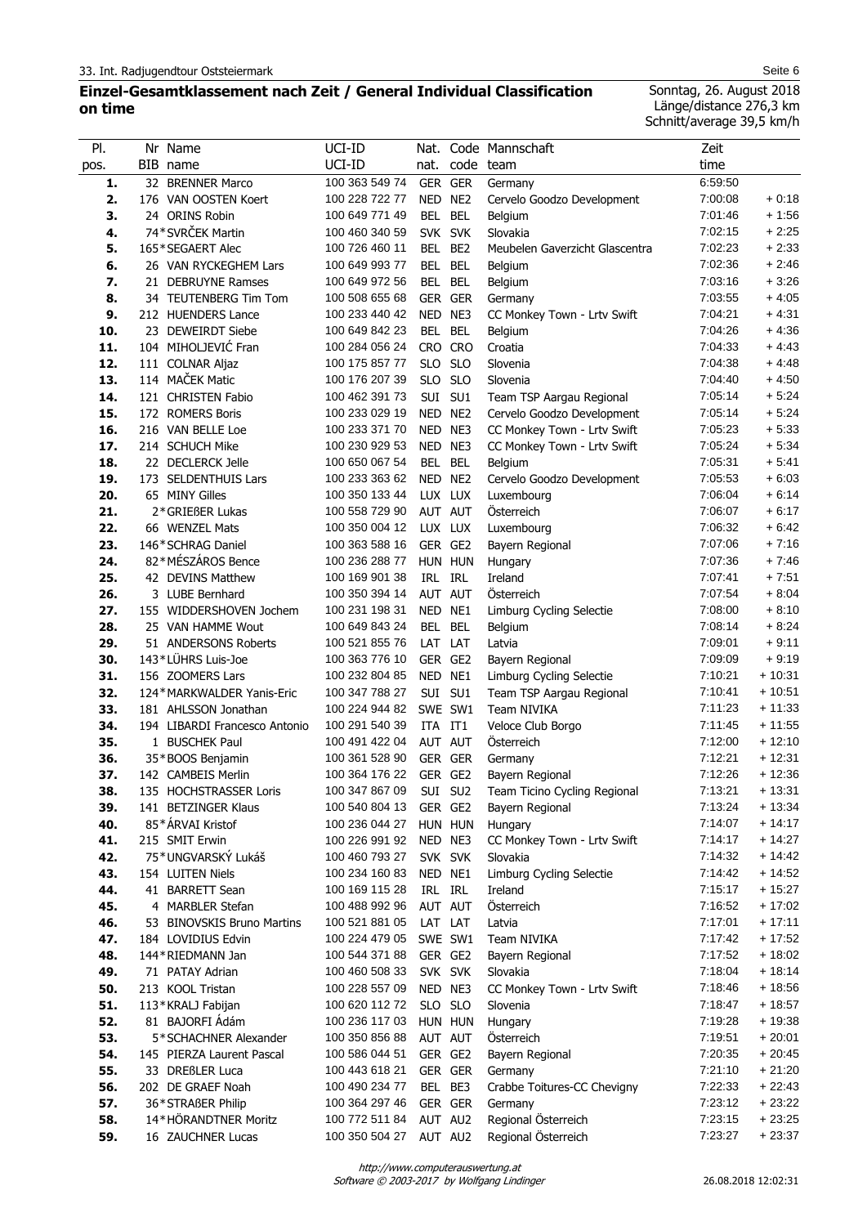# **Einzel-Gesamtklassement nach Zeit / General Individual Classification on time**

Sonntag, 26. August 2018 Länge/distance 276,3 km Schnitt/average 39,5 km/h

| PI.  | Nr Name                                | UCI-ID         | Nat.       |                 | Code Mannschaft                             | Zeit    |          |
|------|----------------------------------------|----------------|------------|-----------------|---------------------------------------------|---------|----------|
| pos. | BIB name                               | UCI-ID         | nat.       | code team       |                                             | time    |          |
| 1.   | 32 BRENNER Marco                       | 100 363 549 74 | GER GER    |                 | Germany                                     | 6:59:50 |          |
| 2.   | 176 VAN OOSTEN Koert                   | 100 228 722 77 | NED NE2    |                 | Cervelo Goodzo Development                  | 7:00:08 | $+0:18$  |
| 3.   | 24 ORINS Robin                         | 100 649 771 49 | BEL        | <b>BEL</b>      | <b>Belgium</b>                              | 7:01:46 | $+1:56$  |
| 4.   | 74*SVRČEK Martin                       | 100 460 340 59 | SVK SVK    |                 | Slovakia                                    | 7:02:15 | $+2:25$  |
| 5.   | 165*SEGAERT Alec                       | 100 726 460 11 | <b>BEL</b> | BE <sub>2</sub> | Meubelen Gaverzicht Glascentra              | 7:02:23 | $+2:33$  |
| 6.   | 26 VAN RYCKEGHEM Lars                  | 100 649 993 77 | BEL        | <b>BEL</b>      | Belgium                                     | 7:02:36 | $+2:46$  |
| 7.   | 21 DEBRUYNE Ramses                     | 100 649 972 56 | BEL BEL    |                 | Belgium                                     | 7:03:16 | $+3:26$  |
| 8.   | 34 TEUTENBERG Tim Tom                  | 100 508 655 68 |            | GER GER         | Germany                                     | 7:03:55 | $+4:05$  |
| 9.   | 212 HUENDERS Lance                     | 100 233 440 42 | NED NE3    |                 | CC Monkey Town - Lrtv Swift                 | 7:04:21 | $+4.31$  |
| 10.  | 23 DEWEIRDT Siebe                      | 100 649 842 23 | BEL        | <b>BEL</b>      | Belgium                                     | 7:04:26 | $+4:36$  |
| 11.  | 104 MIHOLJEVIĆ Fran                    | 100 284 056 24 | CRO CRO    |                 | Croatia                                     | 7:04:33 | $+4.43$  |
| 12.  | 111 COLNAR Aljaz                       | 100 175 857 77 | <b>SLO</b> | <b>SLO</b>      | Slovenia                                    | 7:04:38 | $+4.48$  |
| 13.  | 114 MAČEK Matic                        | 100 176 207 39 | SLO.       | <b>SLO</b>      | Slovenia                                    | 7:04:40 | $+4:50$  |
| 14.  | 121 CHRISTEN Fabio                     | 100 462 391 73 | SUI        | SU1             | Team TSP Aargau Regional                    | 7:05:14 | $+5:24$  |
| 15.  | 172 ROMERS Boris                       | 100 233 029 19 | NED NE2    |                 | Cervelo Goodzo Development                  | 7:05:14 | $+5:24$  |
| 16.  | 216 VAN BELLE Loe                      | 100 233 371 70 | NED NE3    |                 | CC Monkey Town - Lrtv Swift                 | 7:05:23 | $+5:33$  |
| 17.  | 214 SCHUCH Mike                        | 100 230 929 53 | NED NE3    |                 | CC Monkey Town - Lrtv Swift                 | 7:05:24 | $+5:34$  |
| 18.  | 22 DECLERCK Jelle                      | 100 650 067 54 | <b>BEL</b> | <b>BEL</b>      | Belgium                                     | 7:05:31 | $+5.41$  |
| 19.  | 173 SELDENTHUIS Lars                   | 100 233 363 62 | NED        | NE <sub>2</sub> | Cervelo Goodzo Development                  | 7:05:53 | $+6:03$  |
| 20.  | 65 MINY Gilles                         | 100 350 133 44 | LUX LUX    |                 | Luxembourg                                  | 7:06:04 | $+6:14$  |
| 21.  | 2*GRIEßER Lukas                        | 100 558 729 90 | AUT AUT    |                 | Österreich                                  | 7:06:07 | $+6:17$  |
| 22.  | 66 WENZEL Mats                         | 100 350 004 12 | LUX LUX    |                 | Luxembourg                                  | 7:06:32 | $+6.42$  |
| 23.  | 146*SCHRAG Daniel                      | 100 363 588 16 | GER GE2    |                 | Bayern Regional                             | 7:07:06 | $+7:16$  |
| 24.  | 82*MÉSZÁROS Bence                      | 100 236 288 77 |            | HUN HUN         | Hungary                                     | 7:07:36 | $+7:46$  |
| 25.  | 42 DEVINS Matthew                      | 100 169 901 38 | IRL IRL    |                 | Ireland                                     | 7:07:41 | $+7:51$  |
| 26.  | 3 LUBE Bernhard                        | 100 350 394 14 | AUT AUT    |                 | Österreich                                  | 7:07:54 | $+8:04$  |
| 27.  | 155 WIDDERSHOVEN Jochem                | 100 231 198 31 | NED        | NE1             | Limburg Cycling Selectie                    | 7:08:00 | $+8:10$  |
| 28.  | 25 VAN HAMME Wout                      | 100 649 843 24 | BEL        | <b>BEL</b>      | Belgium                                     | 7:08:14 | $+8:24$  |
| 29.  | 51 ANDERSONS Roberts                   | 100 521 855 76 | LAT        | LAT             | Latvia                                      | 7:09:01 | $+9:11$  |
| 30.  | 143*LÜHRS Luis-Joe                     | 100 363 776 10 | GER GE2    |                 |                                             | 7:09:09 | $+9:19$  |
| 31.  | 156 ZOOMERS Lars                       | 100 232 804 85 | NED        | NE1             | Bayern Regional<br>Limburg Cycling Selectie | 7:10:21 | $+10:31$ |
| 32.  | 124*MARKWALDER Yanis-Eric              | 100 347 788 27 |            | SUI SU1         | Team TSP Aargau Regional                    | 7:10:41 | + 10:51  |
| 33.  | 181 AHLSSON Jonathan                   | 100 224 944 82 | SWE SW1    |                 | <b>Team NIVIKA</b>                          | 7:11:23 | $+11:33$ |
| 34.  | 194 LIBARDI Francesco Antonio          | 100 291 540 39 | ITA IT1    |                 | Veloce Club Borgo                           | 7:11:45 | $+11:55$ |
| 35.  | 1 BUSCHEK Paul                         | 100 491 422 04 | AUT AUT    |                 | Österreich                                  | 7:12:00 | $+12:10$ |
| 36.  |                                        | 100 361 528 90 | GER GER    |                 | Germany                                     | 7:12:21 | $+12:31$ |
| 37.  | 35*BOOS Benjamin<br>142 CAMBEIS Merlin | 100 364 176 22 | GER GE2    |                 | Bayern Regional                             | 7:12:26 | $+12:36$ |
| 38.  | 135 HOCHSTRASSER Loris                 | 100 347 867 09 |            |                 | SUI SU2 Team Ticino Cycling Regional        | 7:13:21 | $+13:31$ |
| 39.  | 141 BETZINGER Klaus                    | 100 540 804 13 | GER GE2    |                 | Bayern Regional                             | 7:13:24 | + 13:34  |
| 40.  | 85*ÁRVAI Kristof                       | 100 236 044 27 | HUN HUN    |                 | Hungary                                     | 7:14:07 | + 14:17  |
| 41.  | 215 SMIT Erwin                         | 100 226 991 92 | NED NE3    |                 | CC Monkey Town - Lrtv Swift                 | 7:14:17 | + 14:27  |
| 42.  | 75*UNGVARSKÝ Lukáš                     | 100 460 793 27 |            | SVK SVK         | Slovakia                                    | 7:14:32 | + 14:42  |
| 43.  | 154 LUITEN Niels                       | 100 234 160 83 | NED NE1    |                 | Limburg Cycling Selectie                    | 7:14:42 | + 14:52  |
| 44.  | 41 BARRETT Sean                        | 100 169 115 28 | IRL IRL    |                 | Ireland                                     | 7:15:17 | + 15:27  |
| 45.  | 4 MARBLER Stefan                       | 100 488 992 96 | AUT AUT    |                 | Österreich                                  | 7:16:52 | $+17:02$ |
| 46.  | 53 BINOVSKIS Bruno Martins             | 100 521 881 05 | LAT LAT    |                 | Latvia                                      | 7:17:01 | $+17:11$ |
| 47.  | 184 LOVIDIUS Edvin                     | 100 224 479 05 | SWE SW1    |                 | Team NIVIKA                                 | 7:17:42 | $+17:52$ |
| 48.  | 144*RIEDMANN Jan                       | 100 544 371 88 | GER GE2    |                 | Bayern Regional                             | 7:17:52 | $+18:02$ |
| 49.  | 71 PATAY Adrian                        | 100 460 508 33 | SVK SVK    |                 | Slovakia                                    | 7:18:04 | $+18:14$ |
| 50.  | 213 KOOL Tristan                       | 100 228 557 09 | NED NE3    |                 | CC Monkey Town - Lrtv Swift                 | 7:18:46 | + 18:56  |
| 51.  | 113*KRALJ Fabijan                      | 100 620 112 72 | SLO SLO    |                 | Slovenia                                    | 7:18:47 | + 18:57  |
| 52.  | 81 BAJORFI Ádám                        | 100 236 117 03 | HUN HUN    |                 | Hungary                                     | 7:19:28 | $+19:38$ |
| 53.  | 5*SCHACHNER Alexander                  | 100 350 856 88 | AUT AUT    |                 | <b>Osterreich</b>                           | 7:19:51 | $+20:01$ |
| 54.  | 145 PIERZA Laurent Pascal              | 100 586 044 51 | GER GE2    |                 |                                             | 7:20:35 | $+20:45$ |
| 55.  | 33 DREBLER Luca                        | 100 443 618 21 |            | GER GER         | Bayern Regional<br>Germany                  | 7:21:10 | $+21:20$ |
| 56.  | 202 DE GRAEF Noah                      | 100 490 234 77 |            | BEL BE3         |                                             | 7:22:33 | $+22:43$ |
| 57.  | 36*STRAßER Philip                      | 100 364 297 46 |            | GER GER         | Crabbe Toitures-CC Chevigny<br>Germany      | 7:23:12 | $+23:22$ |
| 58.  | 14*HÖRANDTNER Moritz                   | 100 772 511 84 | AUT AU2    |                 | Regional Österreich                         | 7:23:15 | $+23:25$ |
| 59.  | 16 ZAUCHNER Lucas                      | 100 350 504 27 | AUT AU2    |                 | Regional Österreich                         | 7:23:27 | $+23.37$ |
|      |                                        |                |            |                 |                                             |         |          |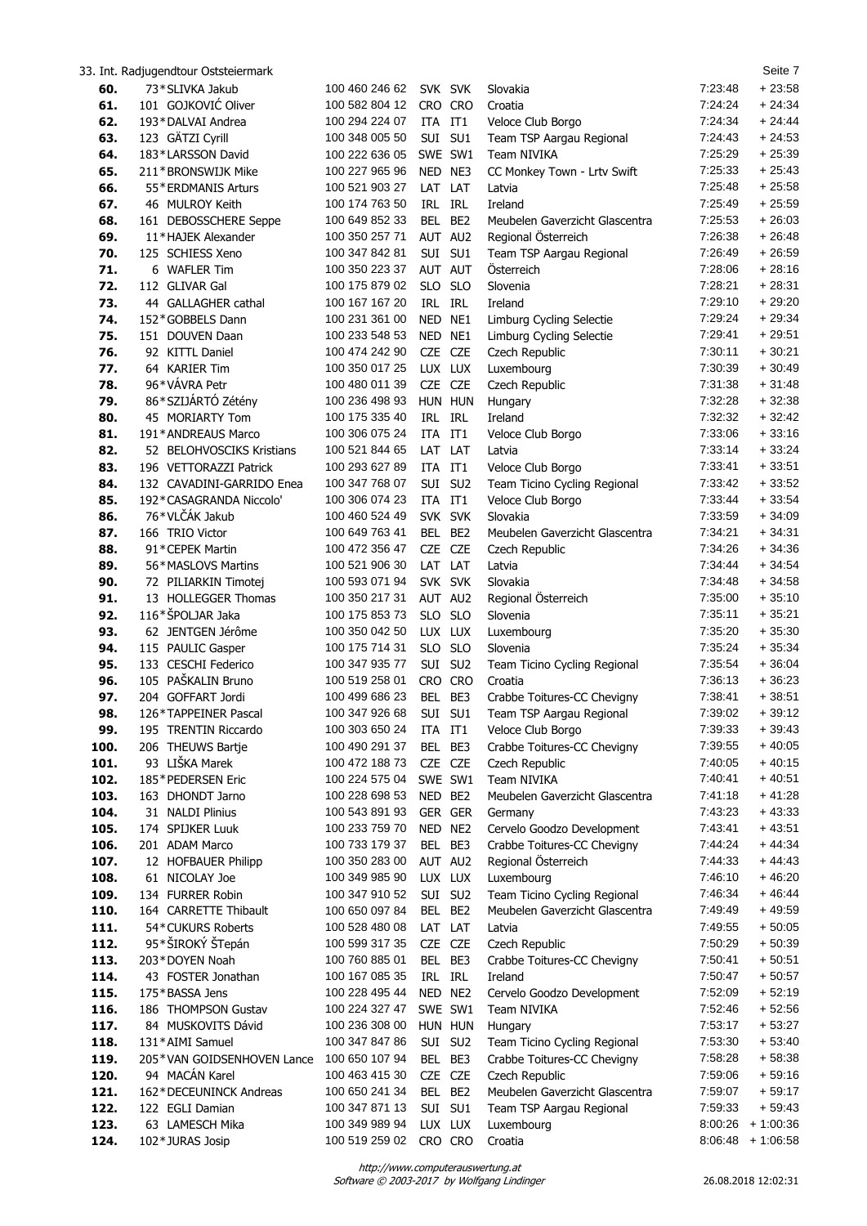|              | 33. Int. Radjugendtour Oststeiermark                |                                  |                    |                   |                                                  |                    | Seite 7              |
|--------------|-----------------------------------------------------|----------------------------------|--------------------|-------------------|--------------------------------------------------|--------------------|----------------------|
| 60.          | 73*SLIVKA Jakub                                     | 100 460 246 62                   | SVK SVK            |                   | Slovakia                                         | 7:23:48            | $+23:58$             |
| 61.          | 101 GOJKOVIĆ Oliver                                 | 100 582 804 12                   | CRO CRO            |                   | Croatia                                          | 7:24:24            | $+24:34$             |
| 62.          | 193*DALVAI Andrea                                   | 100 294 224 07                   | ITA IT1            |                   | Veloce Club Borgo                                | 7:24:34            | $+24:44$             |
| 63.          | 123 GÄTZI Cyrill                                    | 100 348 005 50                   | SUI SU1            |                   | Team TSP Aargau Regional                         | 7:24:43            | $+24:53$             |
| 64.          | 183*LARSSON David                                   | 100 222 636 05                   | SWE SW1            |                   | Team NIVIKA                                      | 7:25:29            | $+25:39$             |
| 65.          | 211*BRONSWIJK Mike                                  | 100 227 965 96                   | NED NE3            |                   | CC Monkey Town - Lrtv Swift                      | 7:25:33            | $+25.43$             |
| 66.          | 55*ERDMANIS Arturs                                  | 100 521 903 27                   | LAT LAT            | <b>IRL</b>        | Latvia                                           | 7:25:48            | $+25:58$<br>$+25:59$ |
| 67.<br>68.   | 46 MULROY Keith<br>161 DEBOSSCHERE Seppe            | 100 174 763 50<br>100 649 852 33 | IRL<br>BEL         | BE <sub>2</sub>   | Ireland<br>Meubelen Gaverzicht Glascentra        | 7:25:49<br>7:25:53 | $+26:03$             |
| 69.          | 11*HAJEK Alexander                                  | 100 350 257 71                   | AUT AU2            |                   | Regional Österreich                              | 7:26:38            | $+26:48$             |
| 70.          | 125 SCHIESS Xeno                                    | 100 347 842 81                   | SUI SU1            |                   | Team TSP Aargau Regional                         | 7:26:49            | $+26.59$             |
| 71.          | 6 WAFLER Tim                                        | 100 350 223 37                   | AUT AUT            |                   | Österreich                                       | 7:28:06            | $+28:16$             |
| 72.          | 112 GLIVAR Gal                                      | 100 175 879 02                   | SLO SLO            |                   | Slovenia                                         | 7:28:21            | $+28:31$             |
| 73.          | 44 GALLAGHER cathal                                 | 100 167 167 20                   | IRL IRL            |                   | Ireland                                          | 7:29:10            | $+29:20$             |
| 74.          | 152*GOBBELS Dann                                    | 100 231 361 00                   | NED NE1            |                   | Limburg Cycling Selectie                         | 7:29:24            | $+29.34$             |
| 75.          | 151 DOUVEN Daan                                     | 100 233 548 53                   | NED NE1            |                   | Limburg Cycling Selectie                         | 7:29:41            | $+29:51$             |
| 76.          | 92 KITTL Daniel                                     | 100 474 242 90                   | <b>CZE</b>         | <b>CZE</b>        | Czech Republic                                   | 7:30:11            | $+30:21$             |
| 77.          | 64 KARIER Tim                                       | 100 350 017 25                   | LUX LUX            |                   | Luxembourg                                       | 7:30:39            | $+30:49$             |
| 78.          | 96*VÁVRA Petr                                       | 100 480 011 39                   | CZE CZE            |                   | Czech Republic                                   | 7:31:38            | $+31:48$             |
| 79.          | 86*SZIJÁRTÓ Zétény                                  | 100 236 498 93                   | HUN HUN            |                   | Hungary                                          | 7:32:28            | $+32:38$             |
| 80.          | 45 MORIARTY Tom                                     | 100 175 335 40                   | IRL                | IRL               | Ireland                                          | 7:32:32            | $+32:42$             |
| 81.          | 191*ANDREAUS Marco                                  | 100 306 075 24<br>100 521 844 65 | ITA IT1            |                   | Veloce Club Borgo                                | 7:33:06<br>7:33:14 | $+33:16$<br>$+33:24$ |
| 82.<br>83.   | 52 BELOHVOSCIKS Kristians<br>196 VETTORAZZI Patrick | 100 293 627 89                   | LAT<br>ITA IT1     | LAT               | Latvia<br>Veloce Club Borgo                      | 7:33:41            | $+33:51$             |
| 84.          | 132 CAVADINI-GARRIDO Enea                           | 100 347 768 07                   | SUI                | SU <sub>2</sub>   | Team Ticino Cycling Regional                     | 7:33:42            | $+33:52$             |
| 85.          | 192*CASAGRANDA Niccolo'                             | 100 306 074 23                   | ITA IT1            |                   | Veloce Club Borgo                                | 7:33:44            | $+33.54$             |
| 86.          | 76*VLČÁK Jakub                                      | 100 460 524 49                   | SVK SVK            |                   | Slovakia                                         | 7:33:59            | $+34:09$             |
| 87.          | 166 TRIO Victor                                     | 100 649 763 41                   | BEL BE2            |                   | Meubelen Gaverzicht Glascentra                   | 7:34:21            | $+34:31$             |
| 88.          | 91*CEPEK Martin                                     | 100 472 356 47                   | <b>CZE</b>         | CZE               | Czech Republic                                   | 7:34:26            | $+34.36$             |
| 89.          | 56*MASLOVS Martins                                  | 100 521 906 30                   | LAT                | LAT               | Latvia                                           | 7:34:44            | $+34:54$             |
| 90.          | 72 PILIARKIN Timotej                                | 100 593 071 94                   | SVK SVK            |                   | Slovakia                                         | 7:34:48            | $+34.58$             |
| 91.          | 13 HOLLEGGER Thomas                                 | 100 350 217 31                   | AUT AU2            |                   | Regional Österreich                              | 7:35:00            | $+35:10$             |
| 92.          | 116*ŠPOLJAR Jaka                                    | 100 175 853 73                   | <b>SLO</b>         | <b>SLO</b>        | Slovenia                                         | 7:35:11            | $+35:21$             |
| 93.          | 62 JENTGEN Jérôme                                   | 100 350 042 50                   | LUX LUX            |                   | Luxembourg                                       | 7:35:20            | $+35:30$             |
| 94.          | 115 PAULIC Gasper                                   | 100 175 714 31                   | <b>SLO</b>         | <b>SLO</b>        | Slovenia                                         | 7:35:24            | $+35.34$             |
| 95.<br>96.   | 133 CESCHI Federico<br>105 PAŠKALIN Bruno           | 100 347 935 77<br>100 519 258 01 | SUI SU2<br>CRO CRO |                   | Team Ticino Cycling Regional                     | 7:35:54<br>7:36:13 | $+36:04$<br>$+36:23$ |
| 97.          | 204 GOFFART Jordi                                   | 100 499 686 23                   | BEL BE3            |                   | Croatia<br>Crabbe Toitures-CC Chevigny           | 7:38:41            | $+38:51$             |
| 98.          | 126*TAPPEINER Pascal                                | 100 347 926 68 SUI SU1           |                    |                   | Team TSP Aargau Regional                         | 7:39:02            | $+39:12$             |
| 99.          | 195 TRENTIN Riccardo                                | 100 303 650 24                   | ITA IT1            |                   | Veloce Club Borgo                                | 7:39:33            | $+39:43$             |
| 100.         | 206 THEUWS Bartje                                   | 100 490 291 37                   | BEL.               | BE3               | Crabbe Toitures-CC Chevigny                      | 7:39:55            | $+40:05$             |
| 101.         | 93 LIŠKA Marek                                      | 100 472 188 73                   | <b>CZE</b>         | <b>CZE</b>        | Czech Republic                                   | 7:40:05            | $+40:15$             |
| 102.         | 185*PEDERSEN Eric                                   | 100 224 575 04                   | SWE SW1            |                   | Team NIVIKA                                      | 7:40:41            | $+40:51$             |
| 103.         | 163 DHONDT Jarno                                    | 100 228 698 53                   | NED BE2            |                   | Meubelen Gaverzicht Glascentra                   | 7:41:18            | + 41:28              |
| 104.         | 31 NALDI Plinius                                    | 100 543 891 93                   | GER GER            |                   | Germany                                          | 7:43:23            | $+43:33$             |
| 105.         | 174 SPIJKER Luuk                                    | 100 233 759 70                   | NED NE2            |                   | Cervelo Goodzo Development                       | 7:43:41            | $+43:51$             |
| 106.         | 201 ADAM Marco                                      | 100 733 179 37<br>100 350 283 00 | BEL                | BE3               | Crabbe Toitures-CC Chevigny                      | 7:44:24<br>7:44:33 | $+44.34$<br>$+44:43$ |
| 107.<br>108. | 12 HOFBAUER Philipp<br>61 NICOLAY Joe               | 100 349 985 90                   | AUT AU2<br>LUX LUX |                   | Regional Österreich<br>Luxembourg                | 7:46:10            | $+46:20$             |
| 109.         | 134 FURRER Robin                                    | 100 347 910 52                   | SUI SU2            |                   | Team Ticino Cycling Regional                     | 7:46:34            | $+46.44$             |
| 110.         | 164 CARRETTE Thibault                               | 100 650 097 84                   | BEL                | BE <sub>2</sub>   | Meubelen Gaverzicht Glascentra                   | 7:49:49            | $+49:59$             |
| 111.         | 54*CUKURS Roberts                                   | 100 528 480 08                   | LAT LAT            |                   | Latvia                                           | 7:49:55            | $+50:05$             |
| 112.         | 95*ŠIROKÝ ŠTepán                                    | 100 599 317 35                   | CZE CZE            |                   | Czech Republic                                   | 7:50:29            | $+50:39$             |
| 113.         | 203*DOYEN Noah                                      | 100 760 885 01                   | BEL BE3            |                   | Crabbe Toitures-CC Chevigny                      | 7:50:41            | $+50:51$             |
| 114.         | 43 FOSTER Jonathan                                  | 100 167 085 35                   | IRL IRL            |                   | Ireland                                          | 7:50:47            | $+50:57$             |
| 115.         | 175*BASSA Jens                                      | 100 228 495 44                   | NED NE2            |                   | Cervelo Goodzo Development                       | 7:52:09            | $+52:19$             |
| 116.         | 186 THOMPSON Gustav                                 | 100 224 327 47                   | SWE SW1            |                   | Team NIVIKA                                      | 7:52:46            | $+52:56$             |
| 117.         | 84 MUSKOVITS Dávid                                  | 100 236 308 00                   | HUN HUN            |                   | Hungary                                          | 7:53:17            | $+53:27$             |
| 118.         | 131*AIMI Samuel                                     | 100 347 847 86                   | Sui                | SU <sub>2</sub>   | Team Ticino Cycling Regional                     | 7:53:30            | $+53:40$             |
| 119.         | 205*VAN GOIDSENHOVEN Lance<br>94 MACAN Karel        | 100 650 107 94<br>100 463 415 30 | BEL                | BE3<br><b>CZE</b> | Crabbe Toitures-CC Chevigny                      | 7:58:28<br>7:59:06 | $+58:38$             |
| 120.<br>121. | 162*DECEUNINCK Andreas                              | 100 650 241 34                   | CZE<br>BEL BE2     |                   | Czech Republic<br>Meubelen Gaverzicht Glascentra | 7:59:07            | $+59:16$<br>$+59:17$ |
| 122.         | 122 EGLI Damian                                     | 100 347 871 13                   | SUI                | SU <sub>1</sub>   | Team TSP Aargau Regional                         | 7:59:33            | $+59:43$             |
| 123.         | 63 LAMESCH Mika                                     | 100 349 989 94                   | LUX LUX            |                   | Luxembourg                                       | 8:00:26            | $+1:00:36$           |
| 124.         | 102*JURAS Josip                                     | 100 519 259 02                   | CRO CRO            |                   | Croatia                                          |                    | $8:06:48 + 1:06:58$  |
|              |                                                     |                                  |                    |                   |                                                  |                    |                      |

Software © 2003-2017 by Wolfgang Lindinger http://www.computerauswertung.at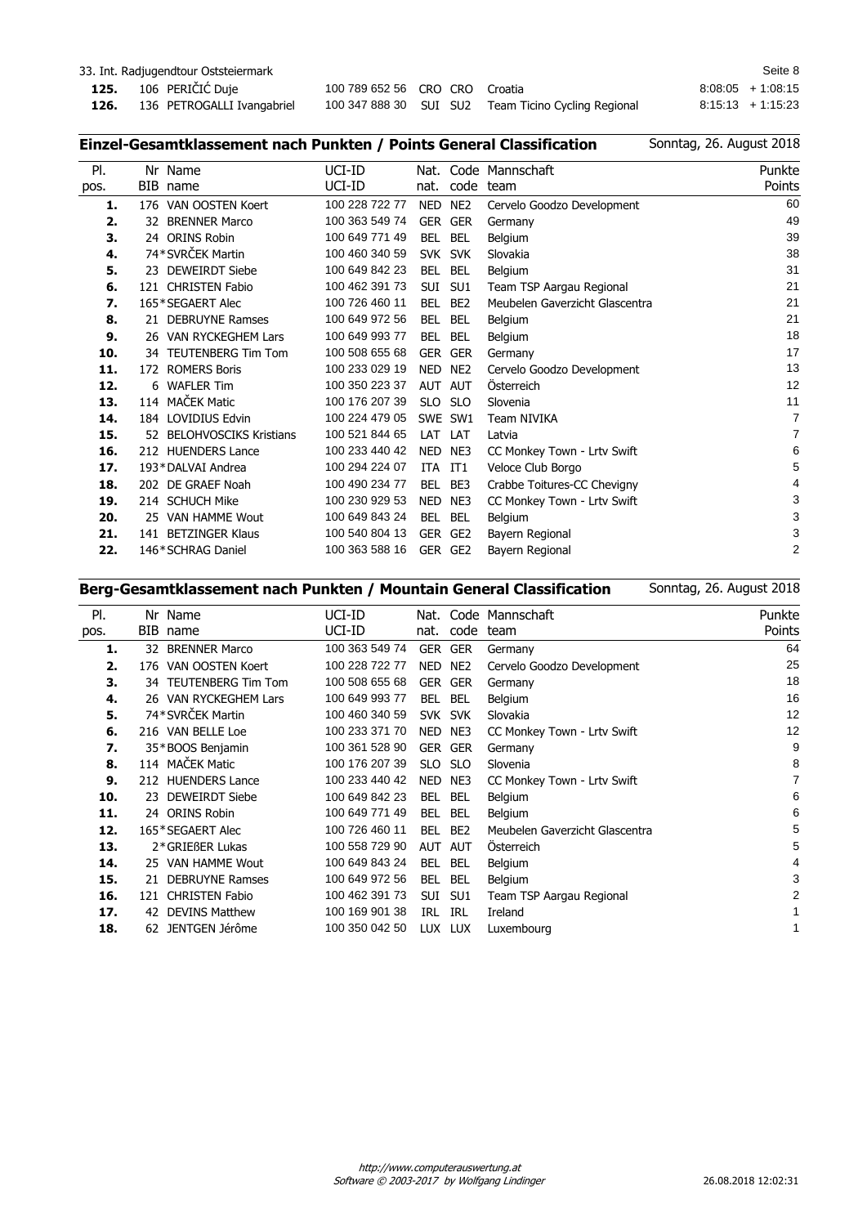| Seite 8<br>33. Int. Radjugendtour Oststeiermark |                            |                        |  |                                                     |  |                     |
|-------------------------------------------------|----------------------------|------------------------|--|-----------------------------------------------------|--|---------------------|
|                                                 | 125. 106 PERIČIĆ Duje      | 100 789 652 56 CRO CRO |  | Croatia                                             |  | $8:08:05 + 1:08:15$ |
| 126.                                            | 136 PETROGALLI Ivangabriel |                        |  | 100 347 888 30 SUI SU2 Team Ticino Cycling Regional |  | $8:15:13 + 1:15:23$ |

## **Einzel-Gesamtklassement nach Punkten / Points General Classification**

| PI.  | Nr  | Name                          | UCI-ID         | Nat.       |                 | Code Mannschaft                | Punkte         |
|------|-----|-------------------------------|----------------|------------|-----------------|--------------------------------|----------------|
| pos. | BIB | name                          | UCI-ID         | nat.       | code            | team                           | Points         |
| 1.   |     | 176 VAN OOSTEN Koert          | 100 228 722 77 | NED        | NE <sub>2</sub> | Cervelo Goodzo Development     | 60             |
| 2.   | 32  | <b>BRENNER Marco</b>          | 100 363 549 74 | GER        | <b>GER</b>      | Germany                        | 49             |
| 3.   |     | 24 ORINS Robin                | 100 649 771 49 | BEL        | <b>BEL</b>      | Belgium                        | 39             |
| 4.   |     | 74*SVRČEK Martin              | 100 460 340 59 | <b>SVK</b> | <b>SVK</b>      | Slovakia                       | 38             |
| 5.   |     | 23 DEWEIRDT Siebe             | 100 649 842 23 | BEL        | <b>BEL</b>      | Belgium                        | 31             |
| 6.   | 121 | <b>CHRISTEN Fabio</b>         | 100 462 391 73 | <b>SUI</b> | SU <sub>1</sub> | Team TSP Aargau Regional       | 21             |
| 7.   |     | 165*SEGAERT Alec              | 100 726 460 11 | <b>BEL</b> | BE <sub>2</sub> | Meubelen Gaverzicht Glascentra | 21             |
| 8.   |     | 21 DEBRUYNE Ramses            | 100 649 972 56 | <b>BEL</b> | <b>BEL</b>      | Belgium                        | 21             |
| 9.   |     | 26 VAN RYCKEGHEM Lars         | 100 649 993 77 | BEL        | <b>BEL</b>      | Belgium                        | 18             |
| 10.  | 34  | <b>TEUTENBERG Tim Tom</b>     | 100 508 655 68 | GER        | <b>GER</b>      | Germany                        | 17             |
| 11.  |     | 172 ROMERS Boris              | 100 233 029 19 | NED        | NE <sub>2</sub> | Cervelo Goodzo Development     | 13             |
| 12.  | 6   | <b>WAFLER Tim</b>             | 100 350 223 37 | <b>AUT</b> | <b>AUT</b>      | Österreich                     | 12             |
| 13.  |     | 114 MAČEK Matic               | 100 176 207 39 | <b>SLO</b> | <b>SLO</b>      | Slovenia                       | 11             |
| 14.  |     | 184 LOVIDIUS Edvin            | 100 224 479 05 | <b>SWE</b> | SW <sub>1</sub> | <b>Team NIVIKA</b>             | $\overline{7}$ |
| 15.  | 52  | <b>BELOHVOSCIKS Kristians</b> | 100 521 844 65 | LAT        | LAT             | Latvia                         | $\overline{7}$ |
| 16.  |     | 212 HUENDERS Lance            | 100 233 440 42 | <b>NED</b> | NE3             | CC Monkey Town - Lrtv Swift    | 6              |
| 17.  |     | 193*DALVAI Andrea             | 100 294 224 07 | <b>ITA</b> | IT1             | Veloce Club Borgo              | 5              |
| 18.  |     | 202 DE GRAEF Noah             | 100 490 234 77 | <b>BEL</b> | BE3             | Crabbe Toitures-CC Chevigny    | 4              |
| 19.  |     | 214 SCHUCH Mike               | 100 230 929 53 | <b>NED</b> | NE3             | CC Monkey Town - Lrty Swift    | 3              |
| 20.  | 25  | VAN HAMME Wout                | 100 649 843 24 | <b>BEL</b> | <b>BEL</b>      | Belgium                        | 3              |
| 21.  |     | 141 BETZINGER Klaus           | 100 540 804 13 | <b>GER</b> | GE <sub>2</sub> | Bayern Regional                | 3              |
| 22.  |     | 146*SCHRAG Daniel             | 100 363 588 16 | GER        | GE2             | Bayern Regional                | $\overline{2}$ |
|      |     |                               |                |            |                 |                                |                |

## **Berg-Gesamtklassement nach Punkten / Mountain General Classification**

| PI.  | Nr  | Name                   | UCI-ID         | Nat.       |                 | Code Mannschaft                | Punkte |
|------|-----|------------------------|----------------|------------|-----------------|--------------------------------|--------|
| pos. |     | BIB name               | UCI-ID         | nat.       | code            | team                           | Points |
| 1.   | 32  | <b>BRENNER Marco</b>   | 100 363 549 74 | GER        | <b>GER</b>      | Germany                        | 64     |
| 2.   | 176 | VAN OOSTEN Koert       | 100 228 722 77 | <b>NED</b> | NE <sub>2</sub> | Cervelo Goodzo Development     | 25     |
| З.   |     | 34 TEUTENBERG Tim Tom  | 100 508 655 68 | <b>GER</b> | <b>GER</b>      | Germany                        | 18     |
| 4.   |     | 26 VAN RYCKEGHEM Lars  | 100 649 993 77 | BEL        | <b>BEL</b>      | Belgium                        | 16     |
| 5.   |     | 74*SVRČEK Martin       | 100 460 340 59 | <b>SVK</b> | <b>SVK</b>      | Slovakia                       | 12     |
| 6.   |     | 216 VAN BELLE Loe      | 100 233 371 70 | NED        | NE3             | CC Monkey Town - Lrtv Swift    | 12     |
| 7.   |     | 35*BOOS Benjamin       | 100 361 528 90 | <b>GER</b> | <b>GER</b>      | Germany                        | 9      |
| 8.   |     | 114 MAČEK Matic        | 100 176 207 39 | SLO        | <b>SLO</b>      | Slovenia                       | 8      |
| 9.   |     | 212 HUENDERS Lance     | 100 233 440 42 | NED        | NE3             | CC Monkey Town - Lrty Swift    | 7      |
| 10.  | 23. | <b>DEWEIRDT Siebe</b>  | 100 649 842 23 | <b>BEL</b> | <b>BEL</b>      | <b>Belgium</b>                 | 6      |
| 11.  |     | 24 ORINS Robin         | 100 649 771 49 | <b>BEL</b> | <b>BEL</b>      | Belgium                        | 6      |
| 12.  |     | 165*SEGAERT Alec       | 100 726 460 11 | <b>BEL</b> | BE <sub>2</sub> | Meubelen Gaverzicht Glascentra | 5      |
| 13.  |     | 2*GRIEßER Lukas        | 100 558 729 90 | <b>AUT</b> | <b>AUT</b>      | <b>Osterreich</b>              | 5      |
| 14.  | 25. | <b>VAN HAMME Wout</b>  | 100 649 843 24 | <b>BEL</b> | <b>BEL</b>      | Belgium                        | 4      |
| 15.  | 21. | <b>DEBRUYNE Ramses</b> | 100 649 972 56 | <b>BEL</b> | <b>BEL</b>      | <b>Belgium</b>                 | 3      |
| 16.  | 121 | <b>CHRISTEN Fabio</b>  | 100 462 391 73 | SUI        | SU <sub>1</sub> | Team TSP Aargau Regional       | 2      |
| 17.  | 42  | <b>DEVINS Matthew</b>  | 100 169 901 38 | <b>IRL</b> | <b>IRL</b>      | Ireland                        |        |
| 18.  | 62  | JENTGEN Jérôme         | 100 350 042 50 | LUX.       | <b>LUX</b>      | Luxembourg                     | 1      |
|      |     |                        |                |            |                 |                                |        |

Sonntag, 26. August 2018

Sonntag, 26. August 2018